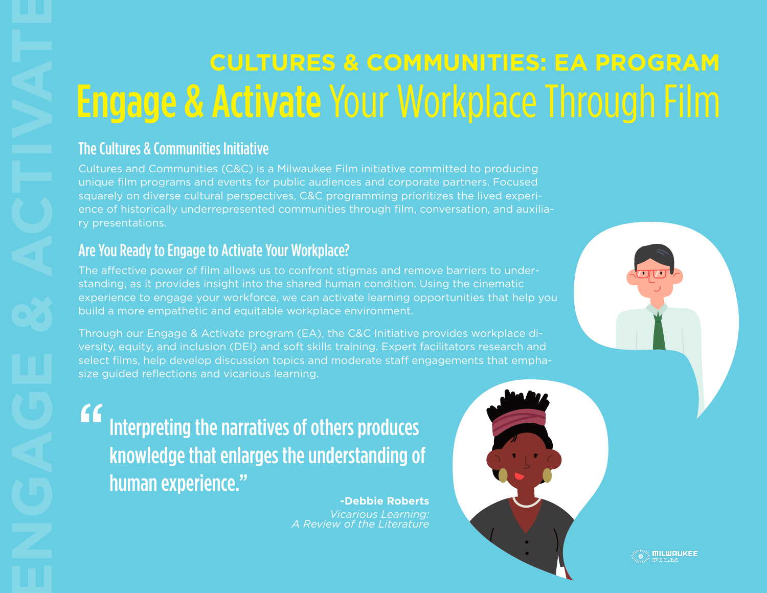# **CULTURES & COMMUNITIES: EA PROGRAM** Engage & Activate Your Workplace Through Film

Cultures and Communities (C&C) is a Milwaukee Film initiative committed to producing unique film programs and events for public audiences and corporate partners. Focused squarely on diverse cultural perspectives, C&C programming prioritizes the lived experience of historically underrepresented communities through film, conversation, and auxiliary presentations.

# Are You Ready to Engage to Activate Your Workplace?

The affective power of film allows us to confront stigmas and remove barriers to understanding, as it provides insight into the shared human condition. Using the cinematic experience to engage your workforce, we can activate learning opportunities that help you build a more empathetic and equitable workplace environment.

Through our Engage & Activate program (EA), the C&C Initiative provides workplace diversity, equity, and inclusion (DEI) and soft skills training. Expert facilitators research and select films, help develop discussion topics and moderate staff engagements that emphasize guided reflections and vicarious learning.

**ENGAGE & COLLA**<br>
The Cultures & Communities Initiative<br>
cultures and Communities CRO is<br>
squarely on diverse cultural perspect<br>
once of historically underrepresente<br>
once of historically underrepresente<br>
or presentations. Interpreting the narratives of others produces knowledge that enlarges the understanding of human experience." "<br>"

**-Debbie Roberts** *Vicarious Learning: A Review of the Literature*



**MILWAUKEE**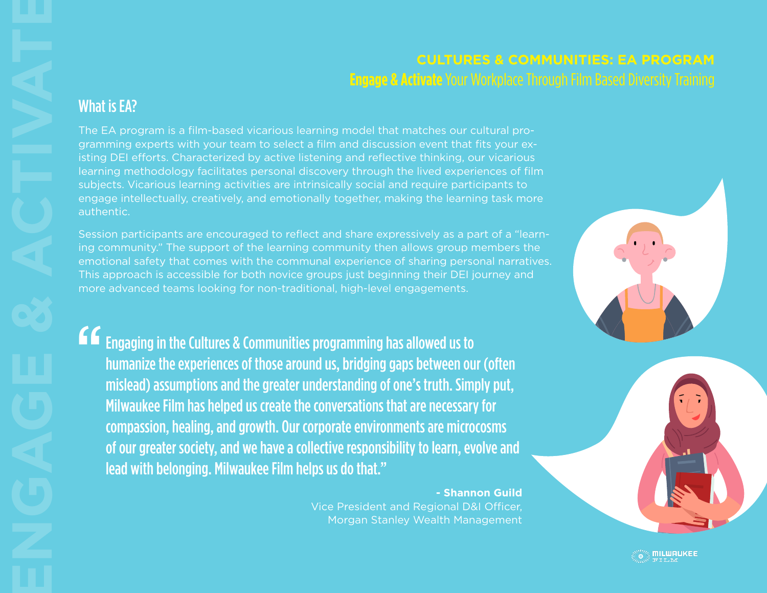# **CULTURES & COMMUNITIES: EA PROGRAM Engage & Activate** Your Workplace Through Film Based Diversity Training

The EA program is a film-based vicarious learning model that matches our cultural programming experts with your team to select a film and discussion event that fits your existing DEI efforts. Characterized by active listening and reflective thinking, our vicarious learning methodology facilitates personal discovery through the lived experiences of film subjects. Vicarious learning activities are intrinsically social and require participants to engage intellectually, creatively, and emotionally together, making the learning task more authentic.

Session participants are encouraged to reflect and share expressively as a part of a "learning community." The support of the learning community then allows group members the emotional safety that comes with the communal experience of sharing personal narratives. This approach is accessible for both novice groups just beginning their DEI journey and more advanced teams looking for non-traditional, high-level engagements.

Engaging in the Cultures & Communities programming has allowed us to humanize the experiences of those around us, bridging gaps between our (often mislead) assumptions and the greater understanding of one's truth. Simply put, Milwaukee Film has helped us create the conversations that are necessary for compassion, healing, and growth. Our corporate environments are microcosms of our greater society, and we have a collective responsibility to learn, evolve and lead with belonging. Milwaukee Film helps us do that." "<br>"

## **- Shannon Guild**

Vice President and Regional D&I Officer, Morgan Stanley Wealth Management





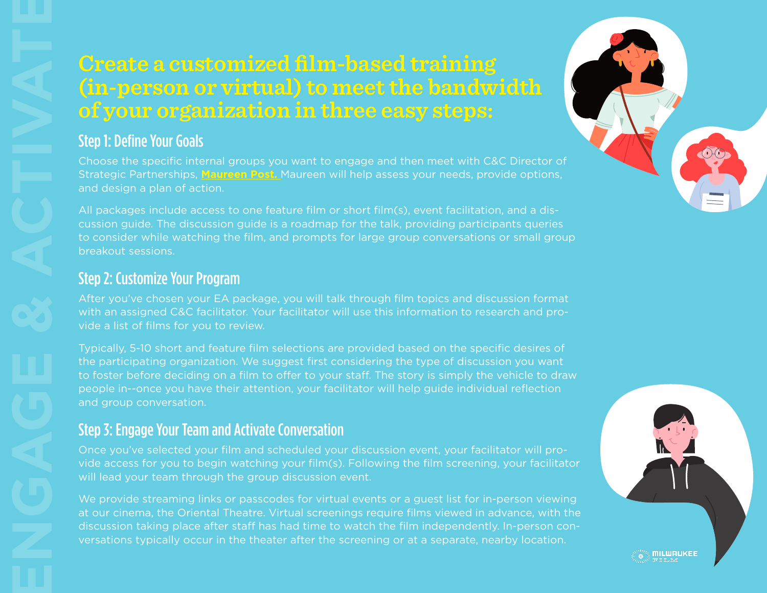# **Create a customized film-based training (in-person or virtual) to meet the bandwidth of your organization in three easy steps:**

Choose the specific internal groups you want to engage and then meet with C&C Director of Strategic Partnerships, **Maureen Post.** Maureen will help assess your needs, provide options, and design a plan of action.

All packages include access to one feature film or short film(s), event facilitation, and a discussion guide. The discussion guide is a roadmap for the talk, providing participants queries to consider while watching the film, and prompts for large group conversations or small group breakout sessions.

## Step 2: Customize Your Program

After you've chosen your EA package, you will talk through film topics and discussion format with an assigned C&C facilitator. Your facilitator will use this information to research and provide a list of films for you to review.

Typically, 5-10 short and feature film selections are provided based on the specific desires of the participating organization. We suggest first considering the type of discussion you want to foster before deciding on a film to offer to your staff. The story is simply the vehicle to draw people in--once you have their attention, your facilitator will help guide individual reflection and group conversation.

# Step 3: Engage Your Team and Activate Conversation

Once you've selected your film and scheduled your discussion event, your facilitator will provide access for you to begin watching your film(s). Following the film screening, your facilitator will lead your team through the group discussion event.

We provide streaming links or passcodes for virtual events or a guest list for in-person viewing at our cinema, the Oriental Theatre. Virtual screenings require films viewed in advance, with the discussion taking place after staff has had time to watch the film independently. In-person conversations typically occur in the theater after the screening or at a separate, nearby location.





**ENGAGE & CONSTRANG (STATER)**<br> **ENGAGE & CONSTRANG CONSTRANG CONSTRANG CONSTRANG CONSTRANG CONSTRANG CONSTRANG CONSTRANG CONSTRANG CONSTRANG CONSTRANG (STATE)**<br> **EXECUTE 2: CUSOMIZE YOUR P**<br>
After you've chosen you with an